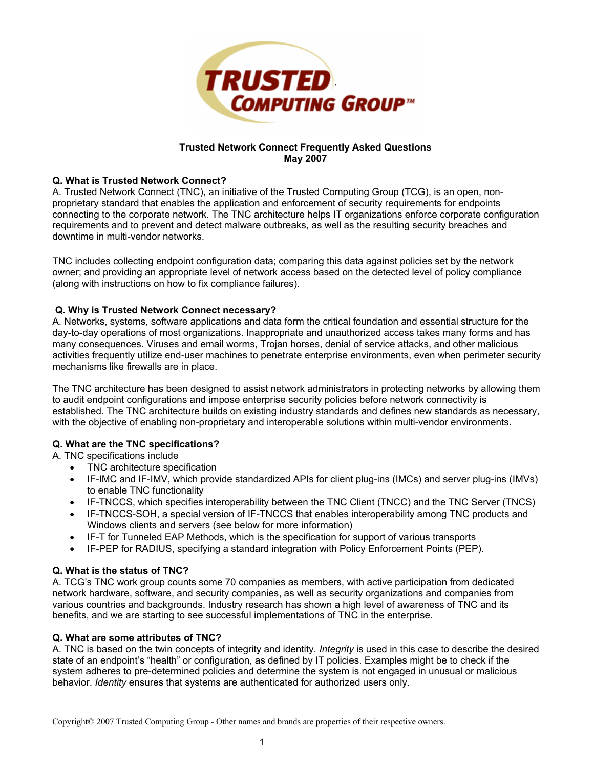

## **Trusted Network Connect Frequently Asked Questions May 2007**

### **Q. What is Trusted Network Connect?**

A. Trusted Network Connect (TNC), an initiative of the Trusted Computing Group (TCG), is an open, nonproprietary standard that enables the application and enforcement of security requirements for endpoints connecting to the corporate network. The TNC architecture helps IT organizations enforce corporate configuration requirements and to prevent and detect malware outbreaks, as well as the resulting security breaches and downtime in multi-vendor networks.

TNC includes collecting endpoint configuration data; comparing this data against policies set by the network owner; and providing an appropriate level of network access based on the detected level of policy compliance (along with instructions on how to fix compliance failures).

## **Q. Why is Trusted Network Connect necessary?**

A. Networks, systems, software applications and data form the critical foundation and essential structure for the day-to-day operations of most organizations. Inappropriate and unauthorized access takes many forms and has many consequences. Viruses and email worms, Trojan horses, denial of service attacks, and other malicious activities frequently utilize end-user machines to penetrate enterprise environments, even when perimeter security mechanisms like firewalls are in place.

The TNC architecture has been designed to assist network administrators in protecting networks by allowing them to audit endpoint configurations and impose enterprise security policies before network connectivity is established. The TNC architecture builds on existing industry standards and defines new standards as necessary, with the objective of enabling non-proprietary and interoperable solutions within multi-vendor environments.

### **Q. What are the TNC specifications?**

A. TNC specifications include

- TNC architecture specification
- IF-IMC and IF-IMV, which provide standardized APIs for client plug-ins (IMCs) and server plug-ins (IMVs) to enable TNC functionality
- IF-TNCCS, which specifies interoperability between the TNC Client (TNCC) and the TNC Server (TNCS)
- IF-TNCCS-SOH, a special version of IF-TNCCS that enables interoperability among TNC products and Windows clients and servers (see below for more information)
- IF-T for Tunneled EAP Methods, which is the specification for support of various transports
- IF-PEP for RADIUS, specifying a standard integration with Policy Enforcement Points (PEP).

### **Q. What is the status of TNC?**

A. TCG's TNC work group counts some 70 companies as members, with active participation from dedicated network hardware, software, and security companies, as well as security organizations and companies from various countries and backgrounds. Industry research has shown a high level of awareness of TNC and its benefits, and we are starting to see successful implementations of TNC in the enterprise.

### **Q. What are some attributes of TNC?**

A. TNC is based on the twin concepts of integrity and identity. *Integrity* is used in this case to describe the desired state of an endpoint's "health" or configuration, as defined by IT policies. Examples might be to check if the system adheres to pre-determined policies and determine the system is not engaged in unusual or malicious behavior. *Identity* ensures that systems are authenticated for authorized users only.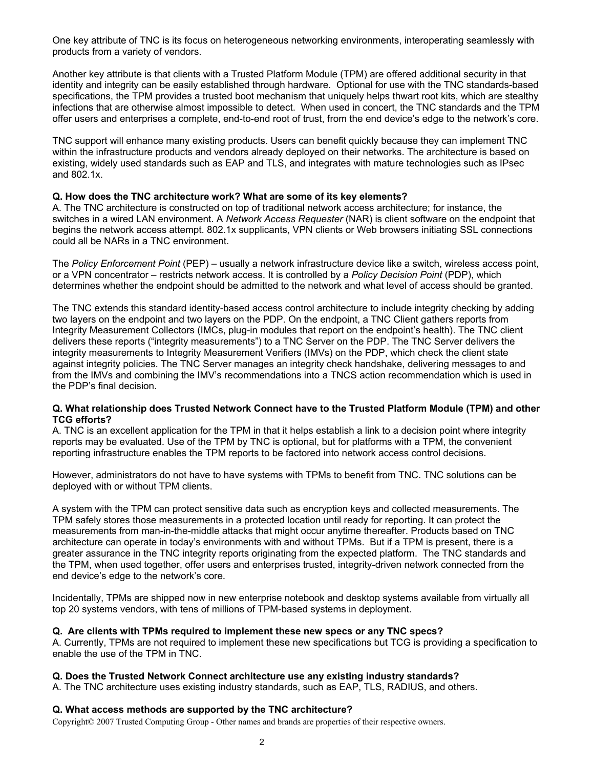One key attribute of TNC is its focus on heterogeneous networking environments, interoperating seamlessly with products from a variety of vendors.

Another key attribute is that clients with a Trusted Platform Module (TPM) are offered additional security in that identity and integrity can be easily established through hardware. Optional for use with the TNC standards-based specifications, the TPM provides a trusted boot mechanism that uniquely helps thwart root kits, which are stealthy infections that are otherwise almost impossible to detect. When used in concert, the TNC standards and the TPM offer users and enterprises a complete, end-to-end root of trust, from the end device's edge to the network's core.

TNC support will enhance many existing products. Users can benefit quickly because they can implement TNC within the infrastructure products and vendors already deployed on their networks. The architecture is based on existing, widely used standards such as EAP and TLS, and integrates with mature technologies such as IPsec and 802.1x.

#### **Q. How does the TNC architecture work? What are some of its key elements?**

A. The TNC architecture is constructed on top of traditional network access architecture; for instance, the switches in a wired LAN environment. A *Network Access Requester* (NAR) is client software on the endpoint that begins the network access attempt. 802.1x supplicants, VPN clients or Web browsers initiating SSL connections could all be NARs in a TNC environment.

The *Policy Enforcement Point* (PEP) – usually a network infrastructure device like a switch, wireless access point, or a VPN concentrator – restricts network access. It is controlled by a *Policy Decision Point* (PDP), which determines whether the endpoint should be admitted to the network and what level of access should be granted.

The TNC extends this standard identity-based access control architecture to include integrity checking by adding two layers on the endpoint and two layers on the PDP. On the endpoint, a TNC Client gathers reports from Integrity Measurement Collectors (IMCs, plug-in modules that report on the endpoint's health). The TNC client delivers these reports ("integrity measurements") to a TNC Server on the PDP. The TNC Server delivers the integrity measurements to Integrity Measurement Verifiers (IMVs) on the PDP, which check the client state against integrity policies. The TNC Server manages an integrity check handshake, delivering messages to and from the IMVs and combining the IMV's recommendations into a TNCS action recommendation which is used in the PDP's final decision.

#### **Q. What relationship does Trusted Network Connect have to the Trusted Platform Module (TPM) and other TCG efforts?**

A. TNC is an excellent application for the TPM in that it helps establish a link to a decision point where integrity reports may be evaluated. Use of the TPM by TNC is optional, but for platforms with a TPM, the convenient reporting infrastructure enables the TPM reports to be factored into network access control decisions.

However, administrators do not have to have systems with TPMs to benefit from TNC. TNC solutions can be deployed with or without TPM clients.

A system with the TPM can protect sensitive data such as encryption keys and collected measurements. The TPM safely stores those measurements in a protected location until ready for reporting. It can protect the measurements from man-in-the-middle attacks that might occur anytime thereafter. Products based on TNC architecture can operate in today's environments with and without TPMs. But if a TPM is present, there is a greater assurance in the TNC integrity reports originating from the expected platform. The TNC standards and the TPM, when used together, offer users and enterprises trusted, integrity-driven network connected from the end device's edge to the network's core.

Incidentally, TPMs are shipped now in new enterprise notebook and desktop systems available from virtually all top 20 systems vendors, with tens of millions of TPM-based systems in deployment.

#### **Q. Are clients with TPMs required to implement these new specs or any TNC specs?**

A. Currently, TPMs are not required to implement these new specifications but TCG is providing a specification to enable the use of the TPM in TNC.

#### **Q. Does the Trusted Network Connect architecture use any existing industry standards?**

A. The TNC architecture uses existing industry standards, such as EAP, TLS, RADIUS, and others.

### **Q. What access methods are supported by the TNC architecture?**

Copyright© 2007 Trusted Computing Group - Other names and brands are properties of their respective owners.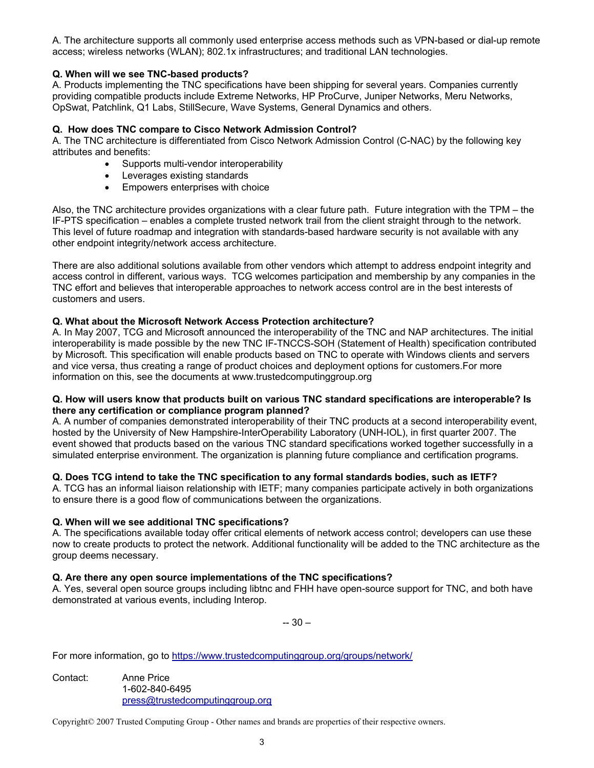A. The architecture supports all commonly used enterprise access methods such as VPN-based or dial-up remote access; wireless networks (WLAN); 802.1x infrastructures; and traditional LAN technologies.

## **Q. When will we see TNC-based products?**

A. Products implementing the TNC specifications have been shipping for several years. Companies currently providing compatible products include Extreme Networks, HP ProCurve, Juniper Networks, Meru Networks, OpSwat, Patchlink, Q1 Labs, StillSecure, Wave Systems, General Dynamics and others.

### **Q. How does TNC compare to Cisco Network Admission Control?**

A. The TNC architecture is differentiated from Cisco Network Admission Control (C-NAC) by the following key attributes and benefits:

- Supports multi-vendor interoperability
- Leverages existing standards
- Empowers enterprises with choice

Also, the TNC architecture provides organizations with a clear future path. Future integration with the TPM – the IF-PTS specification – enables a complete trusted network trail from the client straight through to the network. This level of future roadmap and integration with standards-based hardware security is not available with any other endpoint integrity/network access architecture.

There are also additional solutions available from other vendors which attempt to address endpoint integrity and access control in different, various ways. TCG welcomes participation and membership by any companies in the TNC effort and believes that interoperable approaches to network access control are in the best interests of customers and users.

## **Q. What about the Microsoft Network Access Protection architecture?**

A. In May 2007, TCG and Microsoft announced the interoperability of the TNC and NAP architectures. The initial interoperability is made possible by the new TNC IF-TNCCS-SOH (Statement of Health) specification contributed by Microsoft. This specification will enable products based on TNC to operate with Windows clients and servers and vice versa, thus creating a range of product choices and deployment options for customers.For more information on this, see the documents at www.trustedcomputinggroup.org

#### **Q. How will users know that products built on various TNC standard specifications are interoperable? Is there any certification or compliance program planned?**

A. A number of companies demonstrated interoperability of their TNC products at a second interoperability event, hosted by the University of New Hampshire-InterOperability Laboratory (UNH-IOL), in first quarter 2007. The event showed that products based on the various TNC standard specifications worked together successfully in a simulated enterprise environment. The organization is planning future compliance and certification programs.

# **Q. Does TCG intend to take the TNC specification to any formal standards bodies, such as IETF?**

A. TCG has an informal liaison relationship with IETF; many companies participate actively in both organizations to ensure there is a good flow of communications between the organizations.

### **Q. When will we see additional TNC specifications?**

A. The specifications available today offer critical elements of network access control; developers can use these now to create products to protect the network. Additional functionality will be added to the TNC architecture as the group deems necessary.

### **Q. Are there any open source implementations of the TNC specifications?**

A. Yes, several open source groups including libtnc and FHH have open-source support for TNC, and both have demonstrated at various events, including Interop.

-- 30 –

For more information, go to https://www.trustedcomputinggroup.org/groups/network/

Contact: Anne Price 1-602-840-6495 press@trustedcomputinggroup.org

Copyright© 2007 Trusted Computing Group - Other names and brands are properties of their respective owners.